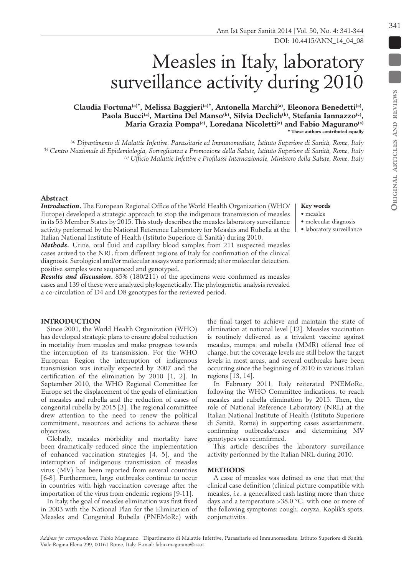# Measles in Italy, laboratory surveillance activity during 2010

Claudia Fortuna<sup>(a)\*</sup>, Melissa Baggieri<sup>(a)\*</sup>, Antonella Marchi<sup>(a)</sup>, Eleonora Benedetti<sup>(a)</sup>, Paola Bucci<sup>(a)</sup>, Martina Del Manso<sup>(b)</sup>, Silvia Declich<sup>(b)</sup>, Stefania Iannazzo<sup>(c)</sup>, **Maria Grazia Pompa(c), Loredana Nicoletti(a) and Fabio Magurano(a) \* These authors contributed equally**

*(a) Dipartimento di Malattie Infettive, Parassitarie ed Immunomediate, Istituto Superiore di Sanità, Rome, Italy (b) Centro Nazionale di Epidemiologia, Sorveglianza e Promozione della Salute, Istituto Superiore di Sanità, Rome, Italy (c) Ufficio Malattie Infettive e Profilassi Internazionale, Ministero della Salute, Rome, Italy*

## **Abstract**

*Introduction***.** The European Regional Office of the World Health Organization (WHO/ Europe) developed a strategic approach to stop the indigenous transmission of measles in its 53 Member States by 2015. This study describes the measles laboratory surveillance activity performed by the National Reference Laboratory for Measles and Rubella at the Italian National Institute of Health (Istituto Superiore di Sanità) during 2010.

*Methods***.** Urine, oral fluid and capillary blood samples from 211 suspected measles cases arrived to the NRL from different regions of Italy for confirmation of the clinical diagnosis. Serological and/or molecular assays were performed; after molecular detection, positive samples were sequenced and genotyped.

*Results and discussion***.** 85% (180/211) of the specimens were confirmed as measles cases and 139 of these were analyzed phylogenetically. The phylogenetic analysis revealed a co-circulation of D4 and D8 genotypes for the reviewed period.

# **Introduction**

Since 2001, the World Health Organization (WHO) has developed strategic plans to ensure global reduction in mortality from measles and make progress towards the interruption of its transmission. For the WHO European Region the interruption of indigenous transmission was initially expected by 2007 and the certification of the elimination by 2010 [1, 2]. In September 2010, the WHO Regional Committee for Europe set the displacement of the goals of elimination of measles and rubella and the reduction of cases of congenital rubella by 2015 [3]. The regional committee drew attention to the need to renew the political commitment, resources and actions to achieve these objectives.

Globally, measles morbidity and mortality have been dramatically reduced since the implementation of enhanced vaccination strategies [4, 5], and the interruption of indigenous transmission of measles virus (MV) has been reported from several countries [6-8]. Furthermore, large outbreaks continue to occur in countries with high vaccination coverage after the importation of the virus from endemic regions [9-11].

In Italy, the goal of measles elimination was first fixed in 2003 with the National Plan for the Elimination of Measles and Congenital Rubella (PNEMoRc) with

# **Key words**

• measles

- molecular diagnosis
- laboratory surveillance

the final target to achieve and maintain the state of elimination at national level [12]. Measles vaccination is routinely delivered as a trivalent vaccine against measles, mumps, and rubella (MMR) offered free of charge, but the coverage levels are still below the target levels in most areas, and several outbreaks have been occurring since the beginning of 2010 in various Italian regions [13, 14].

In February 2011, Italy reiterated PNEMoRc, following the WHO Committee indications, to reach measles and rubella elimination by 2015. Then, the role of National Reference Laboratory (NRL) at the Italian National Institute of Health (Istituto Superiore di Sanità, Rome) in supporting cases ascertainment, confirming outbreaks/cases and determining MV genotypes was reconfirmed.

This article describes the laboratory surveillance activity performed by the Italian NRL during 2010.

# **Methods**

A case of measles was defined as one that met the clinical case definition (clinical picture compatible with measles, *i.e.* a generalized rash lasting more than three days and a temperature >38.0 °C, with one or more of the following symptoms: cough, coryza, Koplik's spots, conjunctivitis.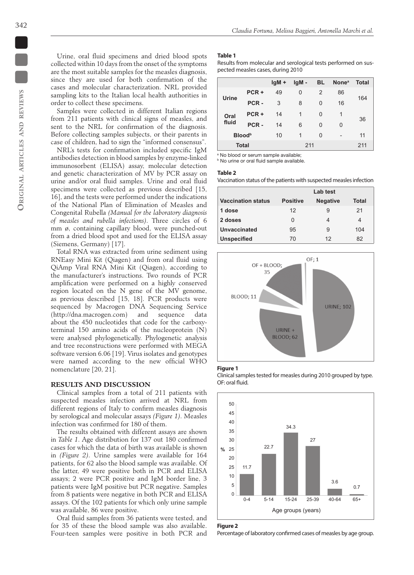Urine, oral fluid specimens and dried blood spots collected within 10 days from the onset of the symptoms are the most suitable samples for the measles diagnosis, since they are used for both confirmation of the cases and molecular characterization. NRL provided sampling kits to the Italian local health authorities in order to collect these specimens.

Samples were collected in different Italian regions from 211 patients with clinical signs of measles, and sent to the NRL for confirmation of the diagnosis. Before collecting samples subjects, or their parents in case of children, had to sign the "informed consensus".

NRL's tests for confirmation included specific IgM antibodies detection in blood samples by enzyme-linked immunosorbent (ELISA) assay, molecular detection and genetic characterization of MV by PCR assay on urine and/or oral fluid samples. Urine and oral fluid specimens were collected as previous described [15, 16], and the tests were performed under the indications of the National Plan of Elimination of Measles and Congenital Rubella *(Manual for the laboratory diagnosis of measles and rubella infections)*. Three circles of 6 mm ø, containing capillary blood, were punched-out from a dried blood spot and used for the ELISA assay (Siemens, Germany) [17].

Total RNA was extracted from urine sediment using RNEasy Mini Kit (Qiagen) and from oral fluid using QiAmp Viral RNA Mini Kit (Qiagen), according to the manufacturer's instructions. Two rounds of PCR amplification were performed on a highly conserved region located on the N gene of the MV genome, as previous described [15, 18]. PCR products were sequenced by Macrogen DNA Sequencing Service (http://dna.macrogen.com) and sequence data about the 450 nucleotides that code for the carboxyterminal 150 amino acids of the nucleoprotein (N) were analysed phylogenetically. Phylogenetic analysis and tree reconstructions were performed with MEGA software version 6.06 [19]. Virus isolates and genotypes were named according to the new official WHO nomenclature [20, 21].

### **Results and discussion**

Clinical samples from a total of 211 patients with suspected measles infection arrived at NRL from different regions of Italy to confirm measles diagnosis by serological and molecular assays *(Figure 1)*. Measles infection was confirmed for 180 of them.

The results obtained with different assays are shown in *Table 1*. Age distribution for 137 out 180 confirmed cases for which the data of birth was available is shown in *(Figure 2)*. Urine samples were available for 164 patients, for 62 also the blood sample was available. Of the latter, 49 were positive both in PCR and ELISA assays; 2 were PCR positive and IgM border line, 3 patients were IgM positive but PCR negative. Samples from 8 patients were negative in both PCR and ELISA assays. Of the 102 patients for which only urine sample was available, 86 were positive.

Oral fluid samples from 36 patients were tested, and for 35 of these the blood sample was also available. Four-teen samples were positive in both PCR and

# **Table 1**

Results from molecular and serological tests performed on suspected measles cases, during 2010

|                           |         | $IqM +$ | $IqM -$ | <b>BL</b>      | <b>None</b> <sup>a</sup> | <b>Total</b> |
|---------------------------|---------|---------|---------|----------------|--------------------------|--------------|
| Urine                     | $PCR +$ | 49      | 0       | $\overline{2}$ | 86                       | 164          |
|                           | PCR-    | 3       | 8       | 0              | 16                       |              |
| Oral<br>fluid             | $PCR +$ | 14      | 1       | 0              | 1                        | 36           |
|                           | PCR-    | 14      | 6       | 0              | 0                        |              |
| <b>Blood</b> <sup>b</sup> |         | 10      | 1       | 0              | -                        | 11           |
| <b>Total</b>              |         |         | 211     |                |                          | 211          |

a No blood or serum sample available;

**b** No urine or oral fluid sample available.

## **Table 2**

Vaccination status of the patients with suspected measles infection

|                           | Lab test        |                 |       |  |  |
|---------------------------|-----------------|-----------------|-------|--|--|
| <b>Vaccination status</b> | <b>Positive</b> | <b>Negative</b> | Total |  |  |
| 1 dose                    | 12              |                 | 21    |  |  |
| 2 doses                   | 0               |                 | 4     |  |  |
| Unvaccinated              | 95              | 9               | 104   |  |  |
| <b>Unspecified</b>        | 70              | 12              | 82    |  |  |



#### **Figure 1**

Clinical samples tested for measles during 2010 grouped by type. OF: oral fluid.





Percentage of laboratory confirmed cases of measles by age group.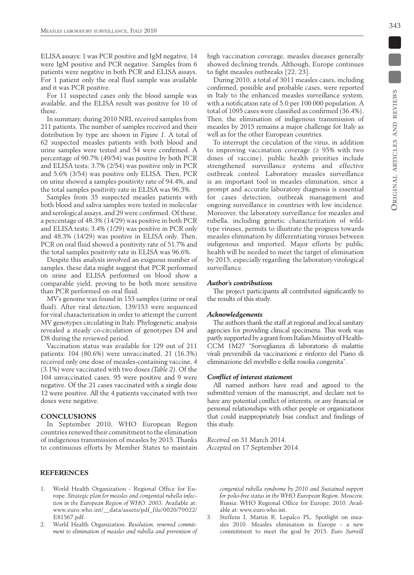ELISA assays; 1 was PCR positive and IgM negative, 14 were IgM positive and PCR negative. Samples from 6 patients were negative in both PCR and ELISA assays. For 1 patient only the oral fluid sample was available and it was PCR positive.

For 11 suspected cases only the blood sample was available, and the ELISA result was positive for 10 of these.

In summary, during 2010 NRL received samples from 211 patients. The number of samples received and their distribution by type are shown in *Figure 1*. A total of 62 suspected measles patients with both blood and urine samples were tested and 54 were confirmed. A percentage of 90.7% (49/54) was positive by both PCR and ELISA tests; 3.7% (2/54) was positive only in PCR and 5.6% (3/54) was positive only ELISA. Then, PCR on urine showed a samples positivity rate of 94.4%, and the total samples positivity rate in ELISA was 96.3%.

Samples from 35 suspected measles patients with both blood and saliva samples were tested in molecular and serological assays, and 29 were confirmed. Of these, a percentage of 48.3% (14/29) was positive in both PCR and ELISA tests; 3.4% (1/29) was positive in PCR only and 48.3% (14/29) was positive in ELISA only. Then, PCR on oral fluid showed a positivity rate of 51.7% and the total samples positivity rate in ELISA was 96.6%.

Despite this analysis involved an exiguous number of samples, these data might suggest that PCR performed on urine and ELISA performed on blood show a comparable yield, proving to be both more sensitive than PCR performed on oral fluid.

MV's genome was found in 153 samples (urine or oral fluid). After viral detection, 139/153 were sequenced for viral characterization in order to attempt the current MV genotypes circulating in Italy. Phylogenetic analysis revealed a steady co-circulation of genotypes D4 and D8 during the reviewed period.

Vaccination status was available for 129 out of 211 patients: 104 (80.6%) were unvaccinated, 21 (16.3%) received only one dose of measles-containing vaccine, 4 (3.1%) were vaccinated with two doses *(Table 2)*. Of the 104 unvaccinated cases, 95 were positive and 9 were negative. Of the 21 cases vaccinated with a single dose 12 were positive. All the 4 patients vaccinated with two doses were negative.

## **Conclusions**

In September 2010, WHO European Region countries renewed their commitment to the elimination of indigenous transmission of measles by 2015. Thanks to continuous efforts by Member States to maintain high vaccination coverage, measles diseases generally showed declining trends. Although, Europe continues to fight measles outbreaks [22, 23].

During 2010, a total of 3011 measles cases, including confirmed, possible and probable cases, were reported in Italy to the enhanced measles surveillance system, with a notification rate of 5.0 per 100 000 population. A total of 1095 cases were classified as confirmed (36.4%). Then, the elimination of indigenous transmission of measles by 2015 remains a major challenge for Italy as well as for the other European countries.

To interrupt the circulation of the virus, in addition to improving vaccination coverage  $(≥ 95%$  with two doses of vaccine), public health priorities include strengthened surveillance systems and effective outbreak control. Laboratory measles surveillance is an important tool in measles elimination, since a prompt and accurate laboratory diagnosis is essential for cases detection, outbreak management and ongoing surveillance in countries with low incidence. Moreover, the laboratory surveillance for measles and rubella, including genetic characterization of wildtype viruses, permits to illustrate the progress towards measles elimination by differentiating viruses between indigenous and imported. Major efforts by public health will be needed to meet the target of elimination by 2015, especially regarding the laboratory virological surveillance.

#### *Author's contributions*

The project participants all contributed significantly to the results of this study.

## *Acknowledgements*

The authors thank the staff at regional and local sanitary agencies for providing clinical specimens. This work was partly supported by a grant from Italian Ministry of Health-CCM 1M27 "Sorveglianza di laboratorio di malattie virali prevenibili da vaccinazioni e rinforzo del Piano di eliminazione del morbillo e della rosolia congenita".

#### *Conflict of interest statement*

All named authors have read and agreed to the submitted version of the manuscript, and declare not to have any potential conflict of interests, or any financial or personal relationships with other people or organizations that could inappropriately bias conduct and findings of this study.

*Received* on 31 March 2014. *Accepted* on 17 September 2014.

#### **References**

- 1. World Health Organization Regional Office for Europe. *Strategic plan for measles and congenital rubella infection in the European Region of WHO. 2003.* Available at: www.euro.who.int/\_\_data/assets/pdf\_file/0020/79022/ E81567.pdf.
- 2. World Health Organization. *Resolution, renewed commitment to elimination of measles and rubella and prevention of*

*congenital rubella syndrome by 2010 and Sustained support for polio-free status in the WHO European Region.* Moscow, Russia: WHO Regional Office for Europe; 2010. Available at: www.euro.who.int.

Steffens I, Martin R, Lopalco PL. Spotlight on measles 2010. Measles elimination in Europe - a new commitment to meet the goal by 2015. *Euro Surveill* 

343